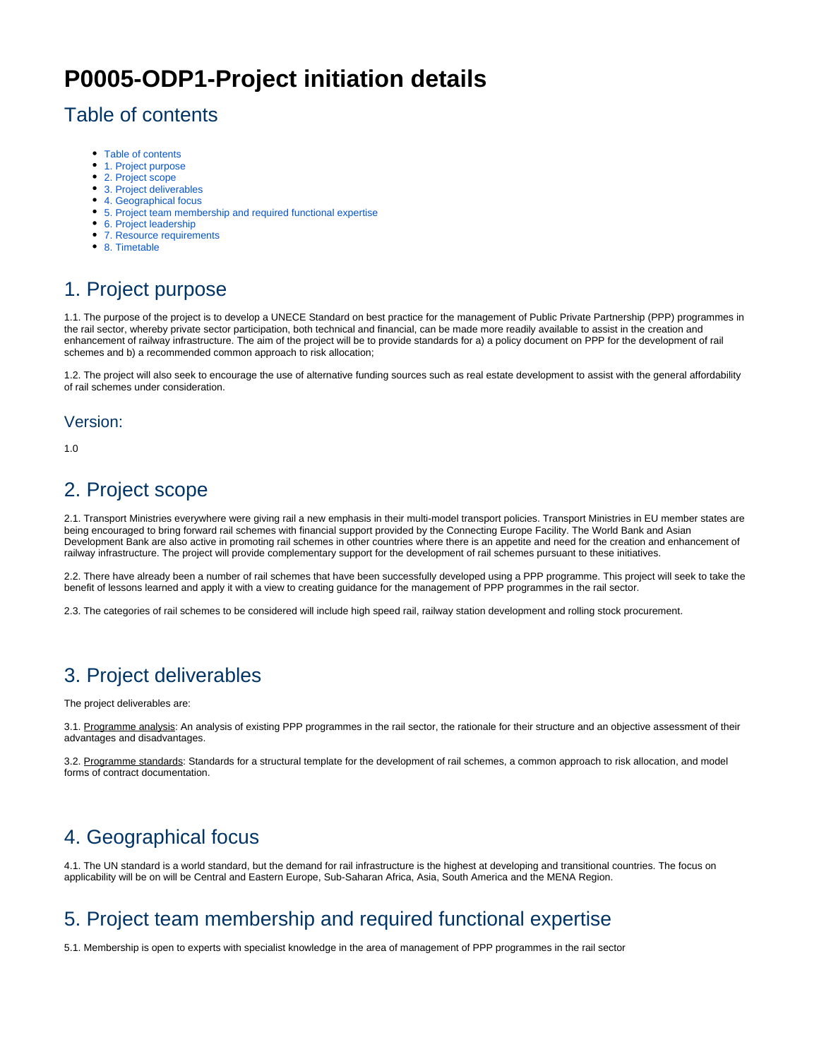# **P0005-ODP1-Project initiation details**

#### <span id="page-0-0"></span>Table of contents

- [Table of contents](#page-0-0)
- [1. Project purpose](#page-0-1)
- [2. Project scope](#page-0-2)
- [3. Project deliverables](#page-0-3)
- [4. Geographical focus](#page-0-4)
- [5. Project team membership and required functional expertise](#page-0-5)
- [6. Project leadership](#page-0-6)
- [7. Resource requirements](#page-1-0)
- [8. Timetable](#page-1-1)

## <span id="page-0-1"></span>1. Project purpose

1.1. The purpose of the project is to develop a UNECE Standard on best practice for the management of Public Private Partnership (PPP) programmes in the rail sector, whereby private sector participation, both technical and financial, can be made more readily available to assist in the creation and enhancement of railway infrastructure. The aim of the project will be to provide standards for a) a policy document on PPP for the development of rail schemes and b) a recommended common approach to risk allocation;

1.2. The project will also seek to encourage the use of alternative funding sources such as real estate development to assist with the general affordability of rail schemes under consideration.

#### Version:

1.0

## <span id="page-0-2"></span>2. Project scope

2.1. Transport Ministries everywhere were giving rail a new emphasis in their multi-model transport policies. Transport Ministries in EU member states are being encouraged to bring forward rail schemes with financial support provided by the Connecting Europe Facility. The World Bank and Asian Development Bank are also active in promoting rail schemes in other countries where there is an appetite and need for the creation and enhancement of railway infrastructure. The project will provide complementary support for the development of rail schemes pursuant to these initiatives.

2.2. There have already been a number of rail schemes that have been successfully developed using a PPP programme. This project will seek to take the benefit of lessons learned and apply it with a view to creating guidance for the management of PPP programmes in the rail sector.

2.3. The categories of rail schemes to be considered will include high speed rail, railway station development and rolling stock procurement.

#### <span id="page-0-3"></span>3. Project deliverables

The project deliverables are:

3.1. Programme analysis: An analysis of existing PPP programmes in the rail sector, the rationale for their structure and an objective assessment of their advantages and disadvantages.

3.2. Programme standards: Standards for a structural template for the development of rail schemes, a common approach to risk allocation, and model forms of contract documentation.

## <span id="page-0-4"></span>4. Geographical focus

4.1. The UN standard is a world standard, but the demand for rail infrastructure is the highest at developing and transitional countries. The focus on applicability will be on will be Central and Eastern Europe, Sub-Saharan Africa, Asia, South America and the MENA Region.

## <span id="page-0-5"></span>5. Project team membership and required functional expertise

<span id="page-0-6"></span>5.1. Membership is open to experts with specialist knowledge in the area of management of PPP programmes in the rail sector